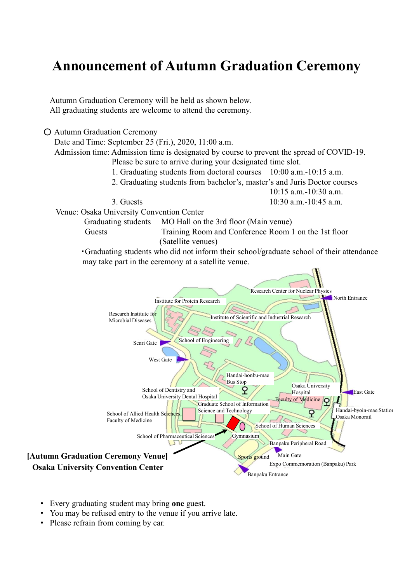## **Announcement of Autumn Graduation Ceremony**<br>Autumn Graduation Ceremony will be held as shown below.<br>All graduating students are welcome to attend the ceremony.

Autumn Graduation Ceremony will be held as shown below. All graduating students are welcome to attend the ceremony.

○ Autumn Graduation Ceremony

Date and Time: September 25 (Fri.), 2020, 11:00 a.m.

**Announcement of Autumn Graduation Ceremony**<br>
utumn Graduation ceremony will be held as shown below.<br>
ull graduating students are welcome to attend the ceremony.<br>
Admission time: September 25 (Fri.), 2020, 11:00 a.m.<br>
Admi Please be sure to arrive during your designated time slot. **EXECT STATE STATE STATE STATE STATE STATE STATE STATE STATE STATE STATE STATE STATE STATE STATE STATE STATE STATE STATE STATE STATE STATE STATE STATE STATE STATE STATE STATE STATE STATE STATE STATE STATE STATE STATE STATE** 

1. Graduating students from doctoral courses 10:00 a.m.-10:15 a.m.

10:15 a.m.-10:30 a.m. 3. Guests 10:30 a.m.-10:45 a.m.

Venue: Osaka University Convention Center

Graduating students MO Hall on the 3rd floor (Main venue)

(Satellite venues)

**UINCEMENT OF AUTUMIN Graduation Ceremony**<br>
raduation Ceremony will be held as shown below.<br>
Time: September 25 (Fri.), 2020, 11:00 a.m.<br>
Time: September 25 (Fri.), 2020, 11:00 a.m.<br>
Please be sure to arrive during your d ・Graduating students who did not inform their school/graduate school of their attendance may take part in the ceremony at a satellite venue.



- Every graduating student may bring one guest.
- You may be refused entry to the venue if you arrive late.
- Please refrain from coming by car.